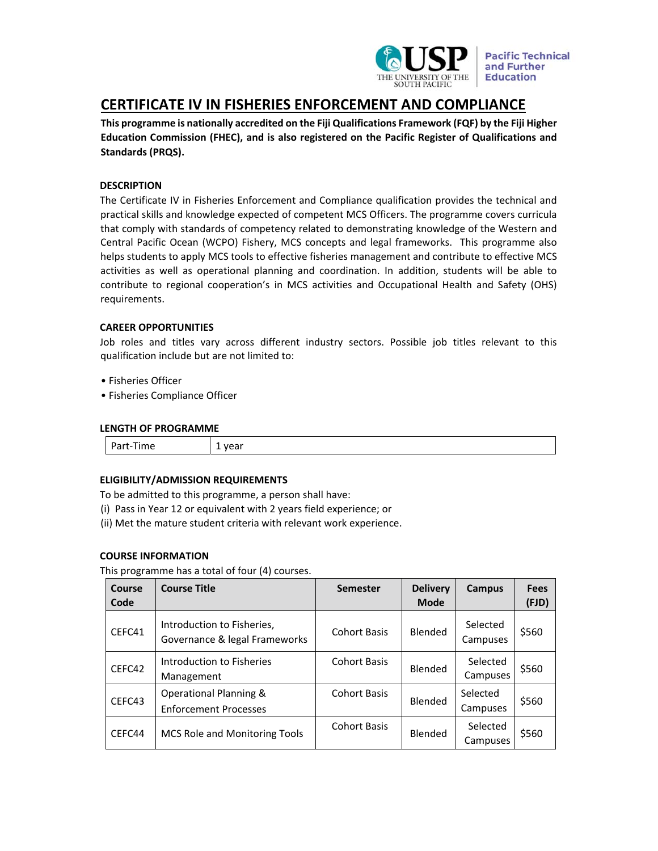

**Pacific Technical** and Further **Education** 

# **CERTIFICATE IV IN FISHERIES ENFORCEMENT AND COMPLIANCE**

**This programme is nationally accredited on the Fiji Qualifications Framework (FQF) by the Fiji Higher Education Commission (FHEC), and is also registered on the Pacific Register of Qualifications and Standards (PRQS).** 

# **DESCRIPTION**

The Certificate IV in Fisheries Enforcement and Compliance qualification provides the technical and practical skills and knowledge expected of competent MCS Officers. The programme covers curricula that comply with standards of competency related to demonstrating knowledge of the Western and Central Pacific Ocean (WCPO) Fishery, MCS concepts and legal frameworks. This programme also helps students to apply MCS tools to effective fisheries management and contribute to effective MCS activities as well as operational planning and coordination. In addition, students will be able to contribute to regional cooperation's in MCS activities and Occupational Health and Safety (OHS) requirements.

# **CAREER OPPORTUNITIES**

Job roles and titles vary across different industry sectors. Possible job titles relevant to this qualification include but are not limited to:

- Fisheries Officer
- Fisheries Compliance Officer

## **LENGTH OF PROGRAMME**

| $\sim$<br>$\overline{\phantom{a}}$<br>ше<br>. .<br><u>я і</u><br>ີ | .<br>-ui<br>. . |
|--------------------------------------------------------------------|-----------------|
|--------------------------------------------------------------------|-----------------|

# **ELIGIBILITY/ADMISSION REQUIREMENTS**

To be admitted to this programme, a person shall have:

- (i) Pass in Year 12 or equivalent with 2 years field experience; or
- (ii) Met the mature student criteria with relevant work experience.

### **COURSE INFORMATION**

This programme has a total of four (4) courses.

| Course<br>Code | <b>Course Title</b>                                         | <b>Semester</b>     | <b>Delivery</b><br><b>Mode</b> | Campus               | <b>Fees</b><br>(FJD) |
|----------------|-------------------------------------------------------------|---------------------|--------------------------------|----------------------|----------------------|
| CEFC41         | Introduction to Fisheries,<br>Governance & legal Frameworks | <b>Cohort Basis</b> | Blended                        | Selected<br>Campuses | \$560                |
| CEFC42         | <b>Introduction to Fisheries</b><br>Management              | <b>Cohort Basis</b> | Blended                        | Selected<br>Campuses | \$560                |
| CEFC43         | Operational Planning &<br><b>Enforcement Processes</b>      | <b>Cohort Basis</b> | Blended                        | Selected<br>Campuses | \$560                |
| CEFC44         | <b>MCS Role and Monitoring Tools</b>                        | <b>Cohort Basis</b> | Blended                        | Selected<br>Campuses | \$560                |